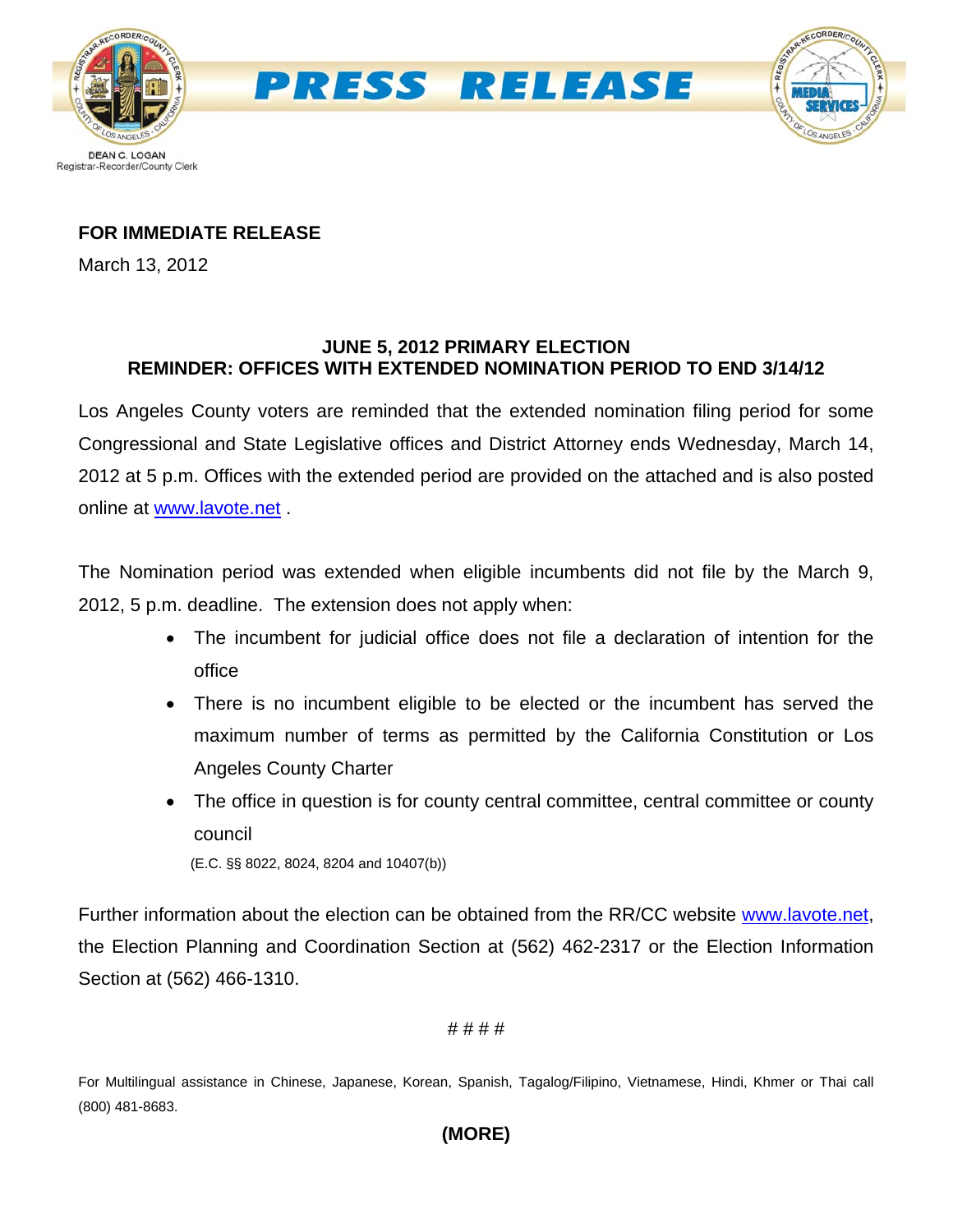



### **FOR IMMEDIATE RELEASE**

March 13, 2012

# **JUNE 5, 2012 PRIMARY ELECTION REMINDER: OFFICES WITH EXTENDED NOMINATION PERIOD TO END 3/14/12**

Los Angeles County voters are reminded that the extended nomination filing period for some Congressional and State Legislative offices and District Attorney ends Wednesday, March 14, 2012 at 5 p.m. Offices with the extended period are provided on the attached and is also posted online at [www.lavote.net](http://www.lavote.net/) .

The Nomination period was extended when eligible incumbents did not file by the March 9, 2012, 5 p.m. deadline. The extension does not apply when:

- The incumbent for judicial office does not file a declaration of intention for the office
- There is no incumbent eligible to be elected or the incumbent has served the maximum number of terms as permitted by the California Constitution or Los Angeles County Charter
- The office in question is for county central committee, central committee or county council

(E.C. §§ 8022, 8024, 8204 and 10407(b))

Further information about the election can be obtained from the RR/CC website [www.lavote.net](http://www.lavote.net/), the Election Planning and Coordination Section at (562) 462-2317 or the Election Information Section at (562) 466-1310.

# # # #

For Multilingual assistance in Chinese, Japanese, Korean, Spanish, Tagalog/Filipino, Vietnamese, Hindi, Khmer or Thai call (800) 481-8683.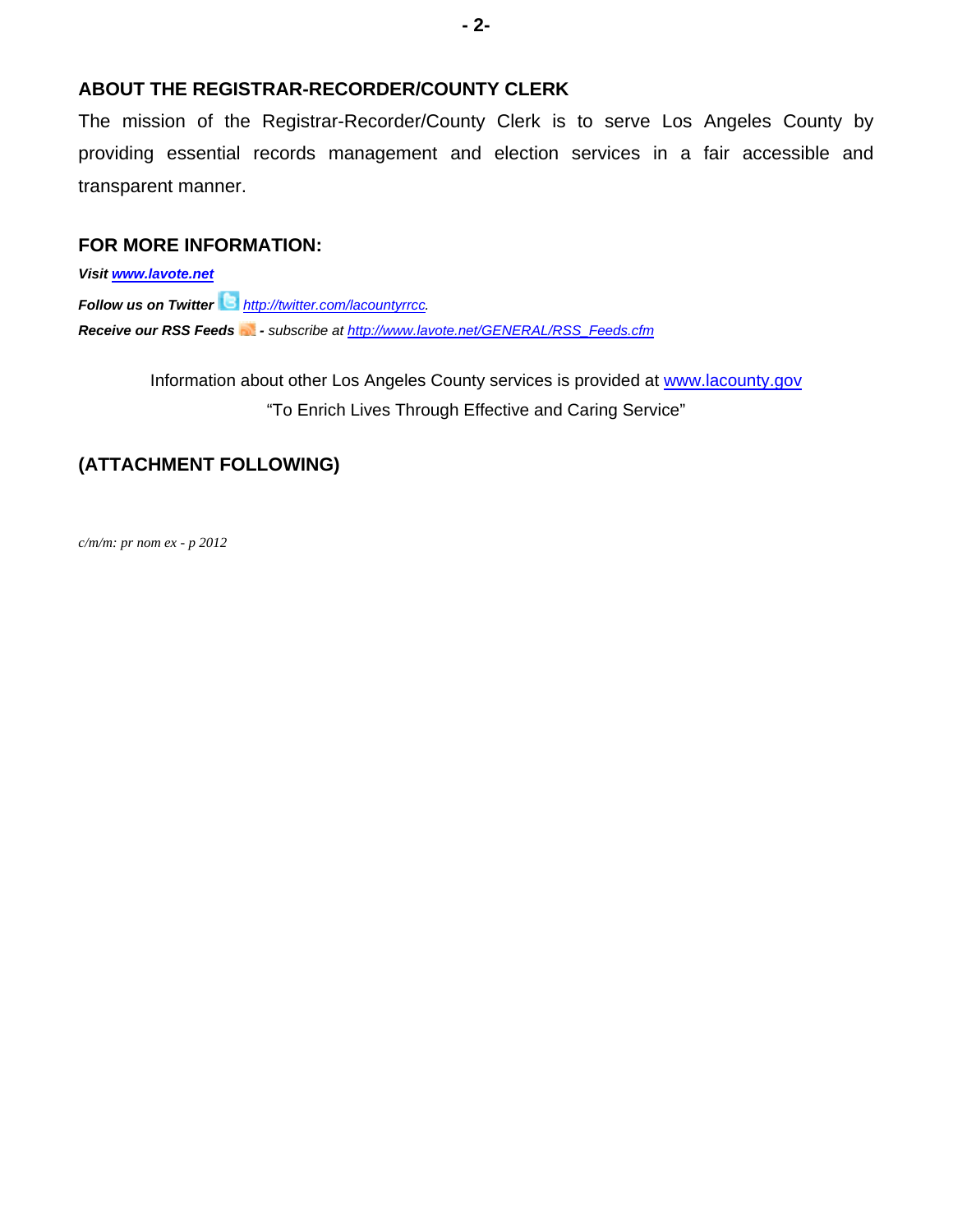#### **ABOUT THE REGISTRAR-RECORDER/COUNTY CLERK**

The mission of the Registrar-Recorder/County Clerk is to serve Los Angeles County by providing essential records management and election services in a fair accessible and transparent manner.

### **FOR MORE INFORMATION:**

*Visit [www.lavote.net](http://www.lavote.net/) Follow us on Twitter <http://twitter.com/lacountyrrcc>. Receive our RSS Feeds - subscribe at [http://www.lavote.net/GENERAL/RSS\\_Feeds.cfm](http://www.lavote.net/GENERAL/RSS_Feeds.cfm)* 

> Information about other Los Angeles County services is provided at [www.lacounty.gov](http://www.lacounty.gov/) "To Enrich Lives Through Effective and Caring Service"

# **(ATTACHMENT FOLLOWING)**

*c/m/m: pr nom ex - p 2012*